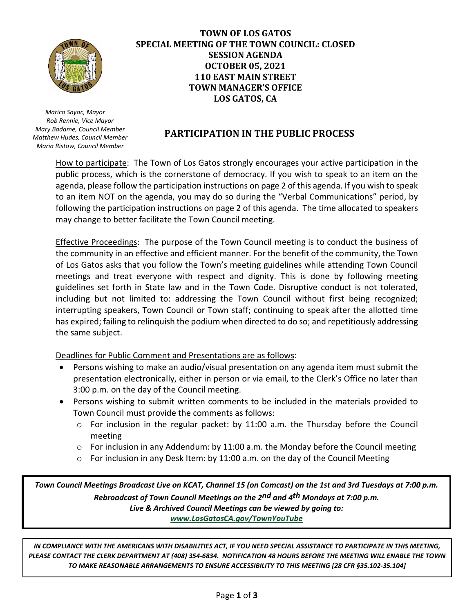

 *Marico Sayoc, Mayor Rob Rennie, Vice Mayor Mary Badame, Council Member Matthew Hudes, Council Member Maria Ristow, Council Member*

# **TOWN OF LOS GATOS SPECIAL MEETING OF THE TOWN COUNCIL: CLOSED SESSION AGENDA OCTOBER 05, 2021 110 EAST MAIN STREET TOWN MANAGER'S OFFICE LOS GATOS, CA**

# **PARTICIPATION IN THE PUBLIC PROCESS**

How to participate: The Town of Los Gatos strongly encourages your active participation in the public process, which is the cornerstone of democracy. If you wish to speak to an item on the agenda, please follow the participation instructions on page 2 of this agenda. If you wish to speak to an item NOT on the agenda, you may do so during the "Verbal Communications" period, by following the participation instructions on page 2 of this agenda. The time allocated to speakers may change to better facilitate the Town Council meeting.

Effective Proceedings: The purpose of the Town Council meeting is to conduct the business of the community in an effective and efficient manner. For the benefit of the community, the Town of Los Gatos asks that you follow the Town's meeting guidelines while attending Town Council meetings and treat everyone with respect and dignity. This is done by following meeting guidelines set forth in State law and in the Town Code. Disruptive conduct is not tolerated, including but not limited to: addressing the Town Council without first being recognized; interrupting speakers, Town Council or Town staff; continuing to speak after the allotted time has expired; failing to relinquish the podium when directed to do so; and repetitiously addressing the same subject.

Deadlines for Public Comment and Presentations are as follows:

- Persons wishing to make an audio/visual presentation on any agenda item must submit the presentation electronically, either in person or via email, to the Clerk's Office no later than 3:00 p.m. on the day of the Council meeting.
- Persons wishing to submit written comments to be included in the materials provided to Town Council must provide the comments as follows:
	- o For inclusion in the regular packet: by 11:00 a.m. the Thursday before the Council meeting
	- $\circ$  For inclusion in any Addendum: by 11:00 a.m. the Monday before the Council meeting
	- o For inclusion in any Desk Item: by 11:00 a.m. on the day of the Council Meeting

*Town Council Meetings Broadcast Live on KCAT, Channel 15 (on Comcast) on the 1st and 3rd Tuesdays at 7:00 p.m. Rebroadcast of Town Council Meetings on the 2nd and 4th Mondays at 7:00 p.m. Live & Archived Council Meetings can be viewed by going to: [www.LosGatosCA.gov/TownYouTube](http://www.losgatosca.gov/TownYouTube)*

*IN COMPLIANCE WITH THE AMERICANS WITH DISABILITIES ACT, IF YOU NEED SPECIAL ASSISTANCE TO PARTICIPATE IN THIS MEETING, PLEASE CONTACT THE CLERK DEPARTMENT AT (408) 354-6834. NOTIFICATION 48 HOURS BEFORE THE MEETING WILL ENABLE THE TOWN TO MAKE REASONABLE ARRANGEMENTS TO ENSURE ACCESSIBILITY TO THIS MEETING [28 CFR §35.102-35.104]*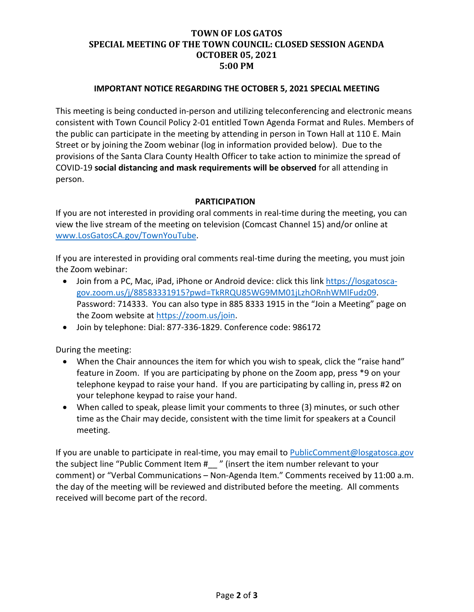# **TOWN OF LOS GATOS SPECIAL MEETING OF THE TOWN COUNCIL: CLOSED SESSION AGENDA OCTOBER 05, 2021 5:00 PM**

### **IMPORTANT NOTICE REGARDING THE OCTOBER 5, 2021 SPECIAL MEETING**

This meeting is being conducted in-person and utilizing teleconferencing and electronic means consistent with Town Council Policy 2-01 entitled Town Agenda Format and Rules. Members of the public can participate in the meeting by attending in person in Town Hall at 110 E. Main Street or by joining the Zoom webinar (log in information provided below). Due to the provisions of the Santa Clara County Health Officer to take action to minimize the spread of COVID-19 **social distancing and mask requirements will be observed** for all attending in person.

### **PARTICIPATION**

If you are not interested in providing oral comments in real-time during the meeting, you can view the live stream of the meeting on television (Comcast Channel 15) and/or online at [www.LosGatosCA.gov/TownYouTube.](http://www.losgatosca.gov/TownYouTube)

If you are interested in providing oral comments real-time during the meeting, you must join the Zoom webinar:

- Join from a PC, Mac, iPad, iPhone or Android device: click this link [https://losgatosca](https://losgatosca-gov.zoom.us/j/88583331915?pwd=TkRRQU85WG9MM01jLzhORnhWMlFudz09)[gov.zoom.us/j/88583331915?pwd=TkRRQU85WG9MM01jLzhORnhWMlFudz09.](https://losgatosca-gov.zoom.us/j/88583331915?pwd=TkRRQU85WG9MM01jLzhORnhWMlFudz09) Password: 714333. You can also type in 885 8333 1915 in the "Join a Meeting" page on the Zoom website at [https://zoom.us/join.](https://zoom.us/join)
- Join by telephone: Dial: 877-336-1829. Conference code: 986172

During the meeting:

- When the Chair announces the item for which you wish to speak, click the "raise hand" feature in Zoom. If you are participating by phone on the Zoom app, press \*9 on your telephone keypad to raise your hand. If you are participating by calling in, press #2 on your telephone keypad to raise your hand.
- When called to speak, please limit your comments to three (3) minutes, or such other time as the Chair may decide, consistent with the time limit for speakers at a Council meeting.

If you are unable to participate in real-time, you may email to **PublicComment@losgatosca.gov** the subject line "Public Comment Item #\_\_ " (insert the item number relevant to your comment) or "Verbal Communications – Non-Agenda Item." Comments received by 11:00 a.m. the day of the meeting will be reviewed and distributed before the meeting. All comments received will become part of the record.